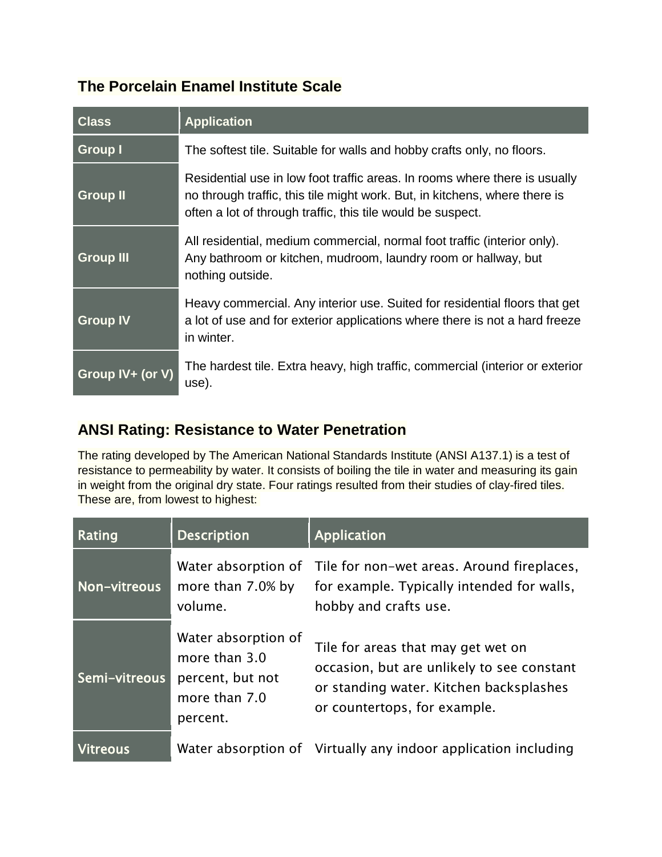## **The Porcelain Enamel Institute Scale**

| <b>Class</b>     | <b>Application</b>                                                                                                                                                                                                      |
|------------------|-------------------------------------------------------------------------------------------------------------------------------------------------------------------------------------------------------------------------|
| <b>Group I</b>   | The softest tile. Suitable for walls and hobby crafts only, no floors.                                                                                                                                                  |
| <b>Group II</b>  | Residential use in low foot traffic areas. In rooms where there is usually<br>no through traffic, this tile might work. But, in kitchens, where there is<br>often a lot of through traffic, this tile would be suspect. |
| <b>Group III</b> | All residential, medium commercial, normal foot traffic (interior only).<br>Any bathroom or kitchen, mudroom, laundry room or hallway, but<br>nothing outside.                                                          |
| <b>Group IV</b>  | Heavy commercial. Any interior use. Suited for residential floors that get<br>a lot of use and for exterior applications where there is not a hard freeze<br>in winter.                                                 |
| Group IV+ (or V) | The hardest tile. Extra heavy, high traffic, commercial (interior or exterior<br>use).                                                                                                                                  |

## **ANSI Rating: Resistance to Water Penetration**

The rating developed by The American National Standards Institute (ANSI A137.1) is a test of resistance to permeability by water. It consists of boiling the tile in water and measuring its gain in weight from the original dry state. Four ratings resulted from their studies of clay-fired tiles. These are, from lowest to highest:

| Rating          | <b>Description</b>                                                                    | <b>Application</b>                                                                                                                                          |
|-----------------|---------------------------------------------------------------------------------------|-------------------------------------------------------------------------------------------------------------------------------------------------------------|
| Non-vitreous    | Water absorption of<br>more than 7.0% by<br>volume.                                   | Tile for non-wet areas. Around fireplaces,<br>for example. Typically intended for walls,<br>hobby and crafts use.                                           |
| Semi-vitreous   | Water absorption of<br>more than 3.0<br>percent, but not<br>more than 7.0<br>percent. | Tile for areas that may get wet on<br>occasion, but are unlikely to see constant<br>or standing water. Kitchen backsplashes<br>or countertops, for example. |
| <u>Vitreous</u> |                                                                                       | Water absorption of Virtually any indoor application including                                                                                              |